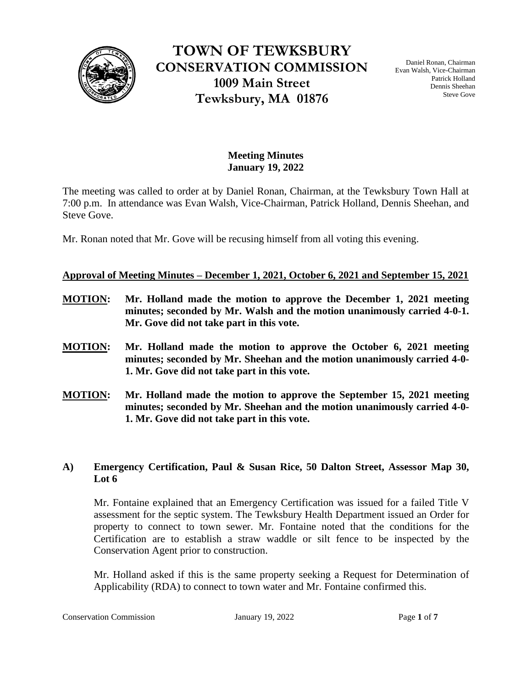

**TOWN OF TEWKSBURY CONSERVATION COMMISSION 1009 Main Street Tewksbury, MA 01876**

Daniel Ronan, Chairman Evan Walsh, Vice-Chairman Patrick Holland Dennis Sheehan Steve Gove

# **Meeting Minutes January 19, 2022**

The meeting was called to order at by Daniel Ronan, Chairman, at the Tewksbury Town Hall at 7:00 p.m. In attendance was Evan Walsh, Vice-Chairman, Patrick Holland, Dennis Sheehan, and Steve Gove.

Mr. Ronan noted that Mr. Gove will be recusing himself from all voting this evening.

# **Approval of Meeting Minutes – December 1, 2021, October 6, 2021 and September 15, 2021**

- **MOTION: Mr. Holland made the motion to approve the December 1, 2021 meeting minutes; seconded by Mr. Walsh and the motion unanimously carried 4-0-1. Mr. Gove did not take part in this vote.**
- **MOTION: Mr. Holland made the motion to approve the October 6, 2021 meeting minutes; seconded by Mr. Sheehan and the motion unanimously carried 4-0- 1. Mr. Gove did not take part in this vote.**
- **MOTION: Mr. Holland made the motion to approve the September 15, 2021 meeting minutes; seconded by Mr. Sheehan and the motion unanimously carried 4-0- 1. Mr. Gove did not take part in this vote.**

# **A) Emergency Certification, Paul & Susan Rice, 50 Dalton Street, Assessor Map 30, Lot 6**

Mr. Fontaine explained that an Emergency Certification was issued for a failed Title V assessment for the septic system. The Tewksbury Health Department issued an Order for property to connect to town sewer. Mr. Fontaine noted that the conditions for the Certification are to establish a straw waddle or silt fence to be inspected by the Conservation Agent prior to construction.

Mr. Holland asked if this is the same property seeking a Request for Determination of Applicability (RDA) to connect to town water and Mr. Fontaine confirmed this.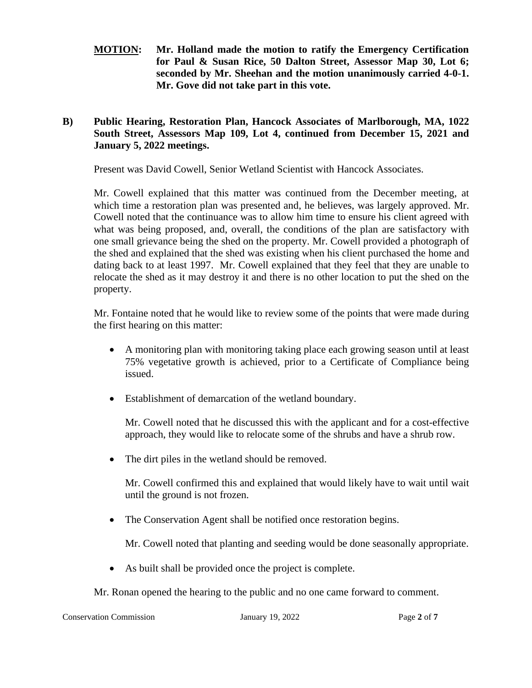**MOTION: Mr. Holland made the motion to ratify the Emergency Certification for Paul & Susan Rice, 50 Dalton Street, Assessor Map 30, Lot 6; seconded by Mr. Sheehan and the motion unanimously carried 4-0-1. Mr. Gove did not take part in this vote.** 

# **B) Public Hearing, Restoration Plan, Hancock Associates of Marlborough, MA, 1022 South Street, Assessors Map 109, Lot 4, continued from December 15, 2021 and January 5, 2022 meetings.**

Present was David Cowell, Senior Wetland Scientist with Hancock Associates.

Mr. Cowell explained that this matter was continued from the December meeting, at which time a restoration plan was presented and, he believes, was largely approved. Mr. Cowell noted that the continuance was to allow him time to ensure his client agreed with what was being proposed, and, overall, the conditions of the plan are satisfactory with one small grievance being the shed on the property. Mr. Cowell provided a photograph of the shed and explained that the shed was existing when his client purchased the home and dating back to at least 1997. Mr. Cowell explained that they feel that they are unable to relocate the shed as it may destroy it and there is no other location to put the shed on the property.

Mr. Fontaine noted that he would like to review some of the points that were made during the first hearing on this matter:

- A monitoring plan with monitoring taking place each growing season until at least 75% vegetative growth is achieved, prior to a Certificate of Compliance being issued.
- Establishment of demarcation of the wetland boundary.

Mr. Cowell noted that he discussed this with the applicant and for a cost-effective approach, they would like to relocate some of the shrubs and have a shrub row.

• The dirt piles in the wetland should be removed.

Mr. Cowell confirmed this and explained that would likely have to wait until wait until the ground is not frozen.

• The Conservation Agent shall be notified once restoration begins.

Mr. Cowell noted that planting and seeding would be done seasonally appropriate.

• As built shall be provided once the project is complete.

Mr. Ronan opened the hearing to the public and no one came forward to comment.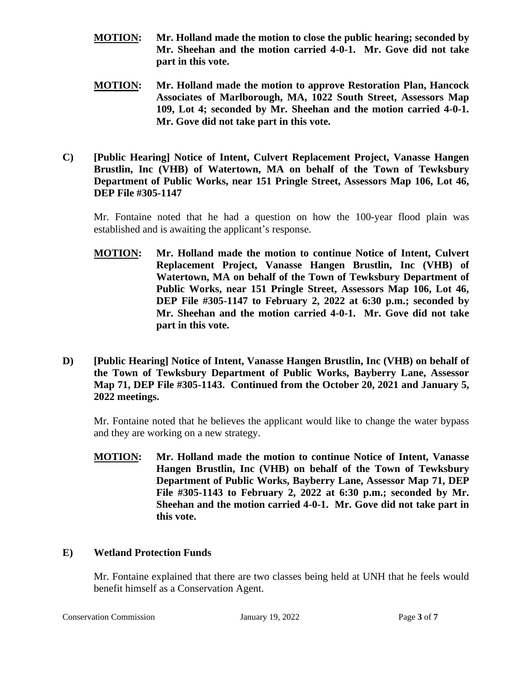- **MOTION: Mr. Holland made the motion to close the public hearing; seconded by Mr. Sheehan and the motion carried 4-0-1. Mr. Gove did not take part in this vote.**
- **MOTION: Mr. Holland made the motion to approve Restoration Plan, Hancock Associates of Marlborough, MA, 1022 South Street, Assessors Map 109, Lot 4; seconded by Mr. Sheehan and the motion carried 4-0-1. Mr. Gove did not take part in this vote.**
- **C) [Public Hearing] Notice of Intent, Culvert Replacement Project, Vanasse Hangen Brustlin, Inc (VHB) of Watertown, MA on behalf of the Town of Tewksbury Department of Public Works, near 151 Pringle Street, Assessors Map 106, Lot 46, DEP File #305-1147**

Mr. Fontaine noted that he had a question on how the 100-year flood plain was established and is awaiting the applicant's response.

- **MOTION: Mr. Holland made the motion to continue Notice of Intent, Culvert Replacement Project, Vanasse Hangen Brustlin, Inc (VHB) of Watertown, MA on behalf of the Town of Tewksbury Department of Public Works, near 151 Pringle Street, Assessors Map 106, Lot 46, DEP File #305-1147 to February 2, 2022 at 6:30 p.m.; seconded by Mr. Sheehan and the motion carried 4-0-1. Mr. Gove did not take part in this vote.**
- **D) [Public Hearing] Notice of Intent, Vanasse Hangen Brustlin, Inc (VHB) on behalf of the Town of Tewksbury Department of Public Works, Bayberry Lane, Assessor Map 71, DEP File #305-1143. Continued from the October 20, 2021 and January 5, 2022 meetings.**

Mr. Fontaine noted that he believes the applicant would like to change the water bypass and they are working on a new strategy.

**MOTION: Mr. Holland made the motion to continue Notice of Intent, Vanasse Hangen Brustlin, Inc (VHB) on behalf of the Town of Tewksbury Department of Public Works, Bayberry Lane, Assessor Map 71, DEP File #305-1143 to February 2, 2022 at 6:30 p.m.; seconded by Mr. Sheehan and the motion carried 4-0-1. Mr. Gove did not take part in this vote.**

# **E) Wetland Protection Funds**

Mr. Fontaine explained that there are two classes being held at UNH that he feels would benefit himself as a Conservation Agent.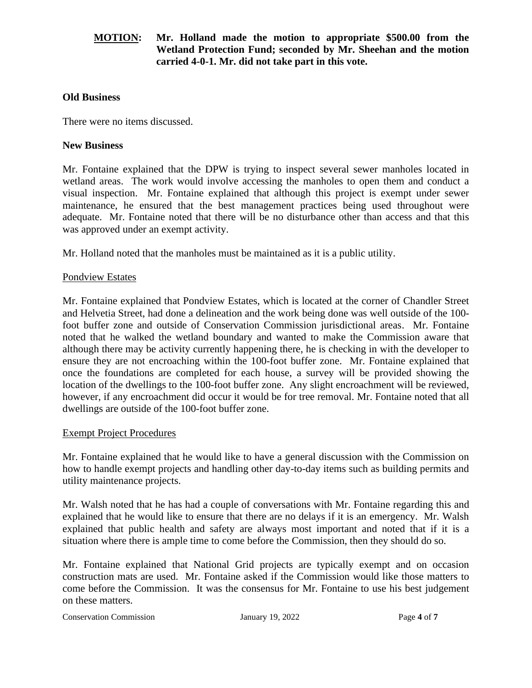# **MOTION: Mr. Holland made the motion to appropriate \$500.00 from the Wetland Protection Fund; seconded by Mr. Sheehan and the motion carried 4-0-1. Mr. did not take part in this vote.**

#### **Old Business**

There were no items discussed.

### **New Business**

Mr. Fontaine explained that the DPW is trying to inspect several sewer manholes located in wetland areas. The work would involve accessing the manholes to open them and conduct a visual inspection. Mr. Fontaine explained that although this project is exempt under sewer maintenance, he ensured that the best management practices being used throughout were adequate. Mr. Fontaine noted that there will be no disturbance other than access and that this was approved under an exempt activity.

Mr. Holland noted that the manholes must be maintained as it is a public utility.

### Pondview Estates

Mr. Fontaine explained that Pondview Estates, which is located at the corner of Chandler Street and Helvetia Street, had done a delineation and the work being done was well outside of the 100 foot buffer zone and outside of Conservation Commission jurisdictional areas. Mr. Fontaine noted that he walked the wetland boundary and wanted to make the Commission aware that although there may be activity currently happening there, he is checking in with the developer to ensure they are not encroaching within the 100-foot buffer zone. Mr. Fontaine explained that once the foundations are completed for each house, a survey will be provided showing the location of the dwellings to the 100-foot buffer zone. Any slight encroachment will be reviewed, however, if any encroachment did occur it would be for tree removal. Mr. Fontaine noted that all dwellings are outside of the 100-foot buffer zone.

#### Exempt Project Procedures

Mr. Fontaine explained that he would like to have a general discussion with the Commission on how to handle exempt projects and handling other day-to-day items such as building permits and utility maintenance projects.

Mr. Walsh noted that he has had a couple of conversations with Mr. Fontaine regarding this and explained that he would like to ensure that there are no delays if it is an emergency. Mr. Walsh explained that public health and safety are always most important and noted that if it is a situation where there is ample time to come before the Commission, then they should do so.

Mr. Fontaine explained that National Grid projects are typically exempt and on occasion construction mats are used. Mr. Fontaine asked if the Commission would like those matters to come before the Commission. It was the consensus for Mr. Fontaine to use his best judgement on these matters.

Conservation Commission **19, 2022** Page 4 of **7**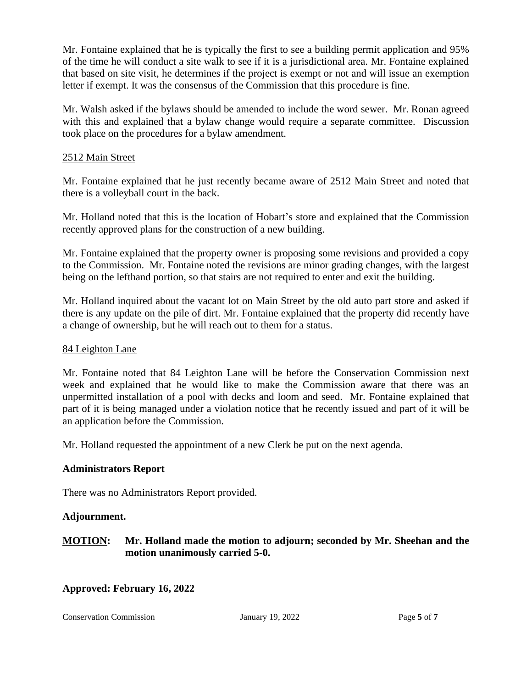Mr. Fontaine explained that he is typically the first to see a building permit application and 95% of the time he will conduct a site walk to see if it is a jurisdictional area. Mr. Fontaine explained that based on site visit, he determines if the project is exempt or not and will issue an exemption letter if exempt. It was the consensus of the Commission that this procedure is fine.

Mr. Walsh asked if the bylaws should be amended to include the word sewer. Mr. Ronan agreed with this and explained that a bylaw change would require a separate committee. Discussion took place on the procedures for a bylaw amendment.

# 2512 Main Street

Mr. Fontaine explained that he just recently became aware of 2512 Main Street and noted that there is a volleyball court in the back.

Mr. Holland noted that this is the location of Hobart's store and explained that the Commission recently approved plans for the construction of a new building.

Mr. Fontaine explained that the property owner is proposing some revisions and provided a copy to the Commission. Mr. Fontaine noted the revisions are minor grading changes, with the largest being on the lefthand portion, so that stairs are not required to enter and exit the building.

Mr. Holland inquired about the vacant lot on Main Street by the old auto part store and asked if there is any update on the pile of dirt. Mr. Fontaine explained that the property did recently have a change of ownership, but he will reach out to them for a status.

# 84 Leighton Lane

Mr. Fontaine noted that 84 Leighton Lane will be before the Conservation Commission next week and explained that he would like to make the Commission aware that there was an unpermitted installation of a pool with decks and loom and seed. Mr. Fontaine explained that part of it is being managed under a violation notice that he recently issued and part of it will be an application before the Commission.

Mr. Holland requested the appointment of a new Clerk be put on the next agenda.

# **Administrators Report**

There was no Administrators Report provided.

# **Adjournment.**

# **MOTION: Mr. Holland made the motion to adjourn; seconded by Mr. Sheehan and the motion unanimously carried 5-0.**

# **Approved: February 16, 2022**

Conservation Commission **19, 2022** Page 5 of 7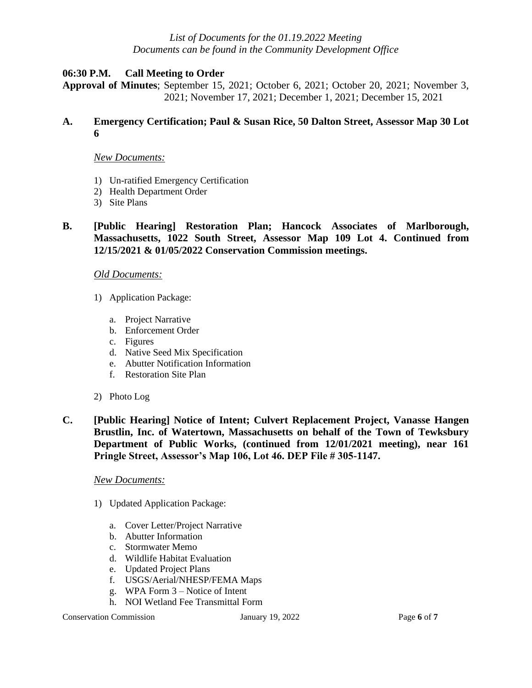### *List of Documents for the 01.19.2022 Meeting Documents can be found in the Community Development Office*

#### **06:30 P.M. Call Meeting to Order**

**Approval of Minutes**; September 15, 2021; October 6, 2021; October 20, 2021; November 3, 2021; November 17, 2021; December 1, 2021; December 15, 2021

#### **A. Emergency Certification; Paul & Susan Rice, 50 Dalton Street, Assessor Map 30 Lot 6**

#### *New Documents:*

- 1) Un-ratified Emergency Certification
- 2) Health Department Order
- 3) Site Plans

### **B. [Public Hearing] Restoration Plan; Hancock Associates of Marlborough, Massachusetts, 1022 South Street, Assessor Map 109 Lot 4. Continued from 12/15/2021 & 01/05/2022 Conservation Commission meetings.**

#### *Old Documents:*

- 1) Application Package:
	- a. Project Narrative
	- b. Enforcement Order
	- c. Figures
	- d. Native Seed Mix Specification
	- e. Abutter Notification Information
	- f. Restoration Site Plan
- 2) Photo Log
- **C. [Public Hearing] Notice of Intent; Culvert Replacement Project, Vanasse Hangen Brustlin, Inc. of Watertown, Massachusetts on behalf of the Town of Tewksbury Department of Public Works, (continued from 12/01/2021 meeting), near 161 Pringle Street, Assessor's Map 106, Lot 46. DEP File # 305-1147.**

#### *New Documents:*

- 1) Updated Application Package:
	- a. Cover Letter/Project Narrative
	- b. Abutter Information
	- c. Stormwater Memo
	- d. Wildlife Habitat Evaluation
	- e. Updated Project Plans
	- f. USGS/Aerial/NHESP/FEMA Maps
	- g. WPA Form 3 Notice of Intent
	- h. NOI Wetland Fee Transmittal Form

Conservation Commission **I** January 19, 2022 Page 6 of 7